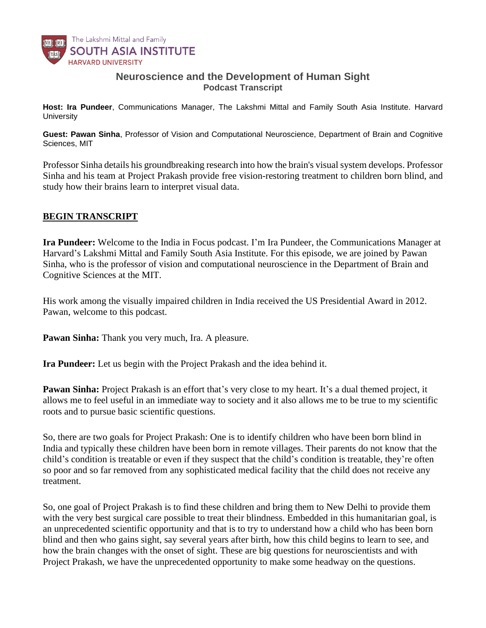

## **Neuroscience and the Development of Human Sight** *Podcast Transcript*

**Host: Ira Pundeer***, Communications Manager, The Lakshmi Mittal and Family South Asia Institute. Harvard University*

**Guest: Pawan Sinha**, *Professor of Vision and Computational Neuroscience, Department of Brain and Cognitive Sciences, MIT*

Professor Sinha details his groundbreaking research into how the brain's visual system develops. Professor Sinha and his team at Project [Prakash](https://www.projectprakash.org/) provide free vision-restoring treatment to children born blind, and study how their brains learn to interpret visual data.

## **BEGIN TRANSCRIPT**

**Ira Pundeer:** Welcome to the India in Focus podcast. I'm Ira Pundeer, the Communications Manager at Harvard's Lakshmi Mittal and Family South Asia Institute. For this episode, we are joined by Pawan Sinha, who is the professor of vision and computational neuroscience in the Department of Brain and Cognitive Sciences at the MIT.

His work among the visually impaired children in India received the US Presidential Award in 2012. Pawan, welcome to this podcast.

**Pawan Sinha:** Thank you very much, Ira. A pleasure.

**Ira Pundeer:** Let us begin with the Project Prakash and the idea behind it.

**Pawan Sinha:** Project Prakash is an effort that's very close to my heart. It's a dual themed project, it allows me to feel useful in an immediate way to society and it also allows me to be true to my scientific roots and to pursue basic scientific questions.

So, there are two goals for Project Prakash: One is to identify children who have been born blind in India and typically these children have been born in remote villages. Their parents do not know that the child's condition is treatable or even if they suspect that the child's condition is treatable, they're often so poor and so far removed from any sophisticated medical facility that the child does not receive any treatment.

So, one goal of Project Prakash is to find these children and bring them to New Delhi to provide them with the very best surgical care possible to treat their blindness. Embedded in this humanitarian goal, is an unprecedented scientific opportunity and that is to try to understand how a child who has been born blind and then who gains sight, say several years after birth, how this child begins to learn to see, and how the brain changes with the onset of sight. These are big questions for neuroscientists and with Project Prakash, we have the unprecedented opportunity to make some headway on the questions.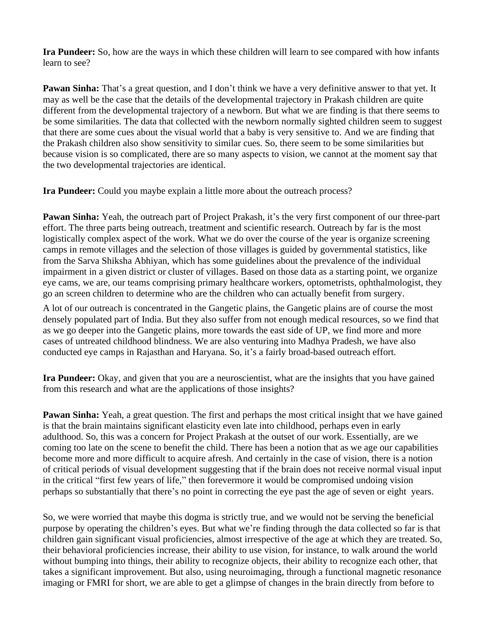**Ira Pundeer:** So, how are the ways in which these children will learn to see compared with how infants learn to see?

**Pawan Sinha:** That's a great question, and I don't think we have a very definitive answer to that yet. It may as well be the case that the details of the developmental trajectory in Prakash children are quite different from the developmental trajectory of a newborn. But what we are finding is that there seems to be some similarities. The data that collected with the newborn normally sighted children seem to suggest that there are some cues about the visual world that a baby is very sensitive to. And we are finding that the Prakash children also show sensitivity to similar cues. So, there seem to be some similarities but because vision is so complicated, there are so many aspects to vision, we cannot at the moment say that the two developmental trajectories are identical.

**Ira Pundeer:** Could you maybe explain a little more about the outreach process?

**Pawan Sinha:** Yeah, the outreach part of Project Prakash, it's the very first component of our three-part effort. The three parts being outreach, treatment and scientific research. Outreach by far is the most logistically complex aspect of the work. What we do over the course of the year is organize screening camps in remote villages and the selection of those villages is guided by governmental statistics, like from the Sarva Shiksha Abhiyan, which has some guidelines about the prevalence of the individual impairment in a given district or cluster of villages. Based on those data as a starting point, we organize eye cams, we are, our teams comprising primary healthcare workers, optometrists, ophthalmologist, they go an screen children to determine who are the children who can actually benefit from surgery.

A lot of our outreach is concentrated in the Gangetic plains, the Gangetic plains are of course the most densely populated part of India. But they also suffer from not enough medical resources, so we find that as we go deeper into the Gangetic plains, more towards the east side of UP, we find more and more cases of untreated childhood blindness. We are also venturing into Madhya Pradesh, we have also conducted eye camps in Rajasthan and Haryana. So, it's a fairly broad-based outreach effort.

**Ira Pundeer:** Okay, and given that you are a neuroscientist, what are the insights that you have gained from this research and what are the applications of those insights?

**Pawan Sinha:** Yeah, a great question. The first and perhaps the most critical insight that we have gained is that the brain maintains significant elasticity even late into childhood, perhaps even in early adulthood. So, this was a concern for Project Prakash at the outset of our work. Essentially, are we coming too late on the scene to benefit the child. There has been a notion that as we age our capabilities become more and more difficult to acquire afresh. And certainly in the case of vision, there is a notion of critical periods of visual development suggesting that if the brain does not receive normal visual input in the critical "first few years of life," then forevermore it would be compromised undoing vision perhaps so substantially that there's no point in correcting the eye past the age of seven or eight years.

So, we were worried that maybe this dogma is strictly true, and we would not be serving the beneficial purpose by operating the children's eyes. But what we're finding through the data collected so far is that children gain significant visual proficiencies, almost irrespective of the age at which they are treated. So, their behavioral proficiencies increase, their ability to use vision, for instance, to walk around the world without bumping into things, their ability to recognize objects, their ability to recognize each other, that takes a significant improvement. But also, using neuroimaging, through a functional magnetic resonance imaging or FMRI for short, we are able to get a glimpse of changes in the brain directly from before to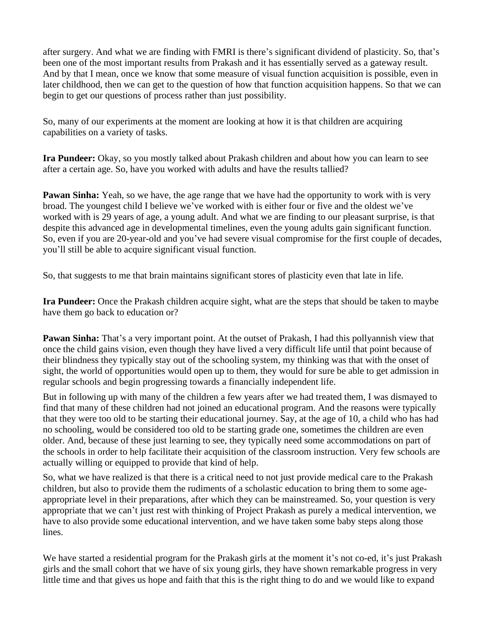after surgery. And what we are finding with FMRI is there's significant dividend of plasticity. So, that's been one of the most important results from Prakash and it has essentially served as a gateway result. And by that I mean, once we know that some measure of visual function acquisition is possible, even in later childhood, then we can get to the question of how that function acquisition happens. So that we can begin to get our questions of process rather than just possibility.

So, many of our experiments at the moment are looking at how it is that children are acquiring capabilities on a variety of tasks.

**Ira Pundeer:** Okay, so you mostly talked about Prakash children and about how you can learn to see after a certain age. So, have you worked with adults and have the results tallied?

**Pawan Sinha:** Yeah, so we have, the age range that we have had the opportunity to work with is very broad. The youngest child I believe we've worked with is either four or five and the oldest we've worked with is 29 years of age, a young adult. And what we are finding to our pleasant surprise, is that despite this advanced age in developmental timelines, even the young adults gain significant function. So, even if you are 20-year-old and you've had severe visual compromise for the first couple of decades, you'll still be able to acquire significant visual function.

So, that suggests to me that brain maintains significant stores of plasticity even that late in life.

**Ira Pundeer:** Once the Prakash children acquire sight, what are the steps that should be taken to maybe have them go back to education or?

**Pawan Sinha:** That's a very important point. At the outset of Prakash, I had this pollyannish view that once the child gains vision, even though they have lived a very difficult life until that point because of their blindness they typically stay out of the schooling system, my thinking was that with the onset of sight, the world of opportunities would open up to them, they would for sure be able to get admission in regular schools and begin progressing towards a financially independent life.

But in following up with many of the children a few years after we had treated them, I was dismayed to find that many of these children had not joined an educational program. And the reasons were typically that they were too old to be starting their educational journey. Say, at the age of 10, a child who has had no schooling, would be considered too old to be starting grade one, sometimes the children are even older. And, because of these just learning to see, they typically need some accommodations on part of the schools in order to help facilitate their acquisition of the classroom instruction. Very few schools are actually willing or equipped to provide that kind of help.

So, what we have realized is that there is a critical need to not just provide medical care to the Prakash children, but also to provide them the rudiments of a scholastic education to bring them to some ageappropriate level in their preparations, after which they can be mainstreamed. So, your question is very appropriate that we can't just rest with thinking of Project Prakash as purely a medical intervention, we have to also provide some educational intervention, and we have taken some baby steps along those lines.

We have started a residential program for the Prakash girls at the moment it's not co-ed, it's just Prakash girls and the small cohort that we have of six young girls, they have shown remarkable progress in very little time and that gives us hope and faith that this is the right thing to do and we would like to expand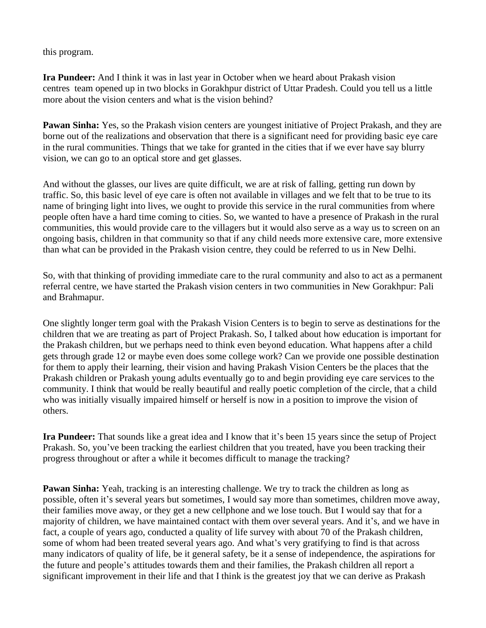this program.

**Ira Pundeer:** And I think it was in last year in October when we heard about Prakash vision centres team opened up in two blocks in Gorakhpur district of Uttar Pradesh. Could you tell us a little more about the vision centers and what is the vision behind?

**Pawan Sinha:** Yes, so the Prakash vision centers are youngest initiative of Project Prakash, and they are borne out of the realizations and observation that there is a significant need for providing basic eye care in the rural communities. Things that we take for granted in the cities that if we ever have say blurry vision, we can go to an optical store and get glasses.

And without the glasses, our lives are quite difficult, we are at risk of falling, getting run down by traffic. So, this basic level of eye care is often not available in villages and we felt that to be true to its name of bringing light into lives, we ought to provide this service in the rural communities from where people often have a hard time coming to cities. So, we wanted to have a presence of Prakash in the rural communities, this would provide care to the villagers but it would also serve as a way us to screen on an ongoing basis, children in that community so that if any child needs more extensive care, more extensive than what can be provided in the Prakash vision centre, they could be referred to us in New Delhi.

So, with that thinking of providing immediate care to the rural community and also to act as a permanent referral centre, we have started the Prakash vision centers in two communities in New Gorakhpur: Pali and Brahmapur.

One slightly longer term goal with the Prakash Vision Centers is to begin to serve as destinations for the children that we are treating as part of Project Prakash. So, I talked about how education is important for the Prakash children, but we perhaps need to think even beyond education. What happens after a child gets through grade 12 or maybe even does some college work? Can we provide one possible destination for them to apply their learning, their vision and having Prakash Vision Centers be the places that the Prakash children or Prakash young adults eventually go to and begin providing eye care services to the community. I think that would be really beautiful and really poetic completion of the circle, that a child who was initially visually impaired himself or herself is now in a position to improve the vision of others.

**Ira Pundeer:** That sounds like a great idea and I know that it's been 15 years since the setup of Project Prakash. So, you've been tracking the earliest children that you treated, have you been tracking their progress throughout or after a while it becomes difficult to manage the tracking?

**Pawan Sinha:** Yeah, tracking is an interesting challenge. We try to track the children as long as possible, often it's several years but sometimes, I would say more than sometimes, children move away, their families move away, or they get a new cellphone and we lose touch. But I would say that for a majority of children, we have maintained contact with them over several years. And it's, and we have in fact, a couple of years ago, conducted a quality of life survey with about 70 of the Prakash children, some of whom had been treated several years ago. And what's very gratifying to find is that across many indicators of quality of life, be it general safety, be it a sense of independence, the aspirations for the future and people's attitudes towards them and their families, the Prakash children all report a significant improvement in their life and that I think is the greatest joy that we can derive as Prakash